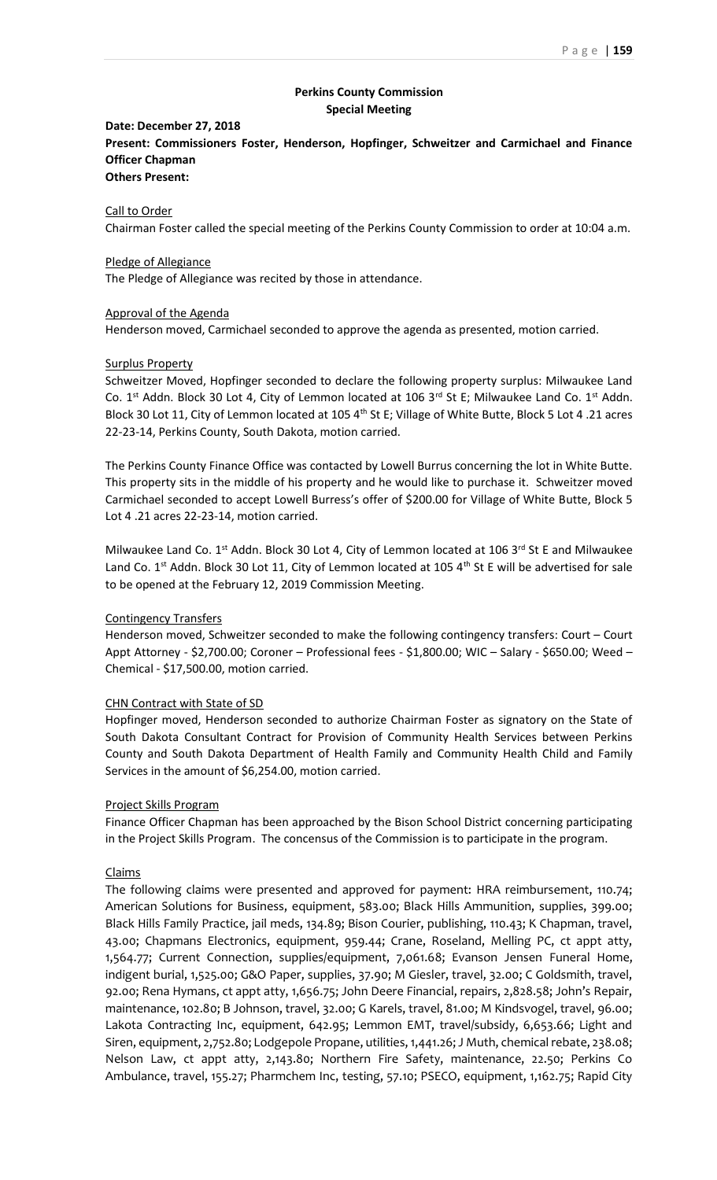# **Perkins County Commission Special Meeting**

# **Date: December 27, 2018 Present: Commissioners Foster, Henderson, Hopfinger, Schweitzer and Carmichael and Finance Officer Chapman**

# **Others Present:**

# Call to Order

Chairman Foster called the special meeting of the Perkins County Commission to order at 10:04 a.m.

#### Pledge of Allegiance

The Pledge of Allegiance was recited by those in attendance.

#### Approval of the Agenda

Henderson moved, Carmichael seconded to approve the agenda as presented, motion carried.

#### Surplus Property

Schweitzer Moved, Hopfinger seconded to declare the following property surplus: Milwaukee Land Co.  $1^{st}$  Addn. Block 30 Lot 4, City of Lemmon located at 106 3<sup>rd</sup> St E; Milwaukee Land Co.  $1^{st}$  Addn. Block 30 Lot 11, City of Lemmon located at 105 4<sup>th</sup> St E; Village of White Butte, Block 5 Lot 4 .21 acres 22-23-14, Perkins County, South Dakota, motion carried.

The Perkins County Finance Office was contacted by Lowell Burrus concerning the lot in White Butte. This property sits in the middle of his property and he would like to purchase it. Schweitzer moved Carmichael seconded to accept Lowell Burress's offer of \$200.00 for Village of White Butte, Block 5 Lot 4 .21 acres 22-23-14, motion carried.

Milwaukee Land Co. 1<sup>st</sup> Addn. Block 30 Lot 4, City of Lemmon located at 106 3<sup>rd</sup> St E and Milwaukee Land Co.  $1^{st}$  Addn. Block 30 Lot 11, City of Lemmon located at 105  $4^{th}$  St E will be advertised for sale to be opened at the February 12, 2019 Commission Meeting.

### Contingency Transfers

Henderson moved, Schweitzer seconded to make the following contingency transfers: Court – Court Appt Attorney - \$2,700.00; Coroner – Professional fees - \$1,800.00; WIC – Salary - \$650.00; Weed – Chemical - \$17,500.00, motion carried.

## CHN Contract with State of SD

Hopfinger moved, Henderson seconded to authorize Chairman Foster as signatory on the State of South Dakota Consultant Contract for Provision of Community Health Services between Perkins County and South Dakota Department of Health Family and Community Health Child and Family Services in the amount of \$6,254.00, motion carried.

## Project Skills Program

Finance Officer Chapman has been approached by the Bison School District concerning participating in the Project Skills Program. The concensus of the Commission is to participate in the program.

# Claims

The following claims were presented and approved for payment: HRA reimbursement, 110.74; American Solutions for Business, equipment, 583.00; Black Hills Ammunition, supplies, 399.00; Black Hills Family Practice, jail meds, 134.89; Bison Courier, publishing, 110.43; K Chapman, travel, 43.00; Chapmans Electronics, equipment, 959.44; Crane, Roseland, Melling PC, ct appt atty, 1,564.77; Current Connection, supplies/equipment, 7,061.68; Evanson Jensen Funeral Home, indigent burial, 1,525.00; G&O Paper, supplies, 37.90; M Giesler, travel, 32.00; C Goldsmith, travel, 92.00; Rena Hymans, ct appt atty, 1,656.75; John Deere Financial, repairs, 2,828.58; John's Repair, maintenance, 102.80; B Johnson, travel, 32.00; G Karels, travel, 81.00; M Kindsvogel, travel, 96.00; Lakota Contracting Inc, equipment, 642.95; Lemmon EMT, travel/subsidy, 6,653.66; Light and Siren, equipment, 2,752.80; Lodgepole Propane, utilities, 1,441.26; J Muth, chemical rebate, 238.08; Nelson Law, ct appt atty, 2,143.80; Northern Fire Safety, maintenance, 22.50; Perkins Co Ambulance, travel, 155.27; Pharmchem Inc, testing, 57.10; PSECO, equipment, 1,162.75; Rapid City